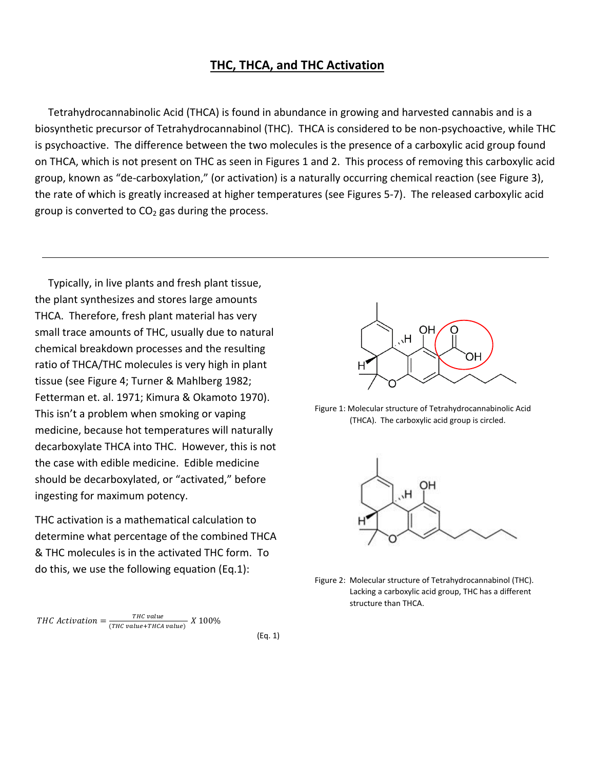## **THC, THCA, and THC Activation**

 Tetrahydrocannabinolic Acid (THCA) is found in abundance in growing and harvested cannabis and is a biosynthetic precursor of Tetrahydrocannabinol (THC). THCA is considered to be non-psychoactive, while THC is psychoactive. The difference between the two molecules is the presence of a carboxylic acid group found on THCA, which is not present on THC as seen in Figures 1 and 2. This process of removing this carboxylic acid group, known as "de-carboxylation," (or activation) is a naturally occurring chemical reaction (see Figure 3), the rate of which is greatly increased at higher temperatures (see Figures 5-7). The released carboxylic acid group is converted to  $CO<sub>2</sub>$  gas during the process.

 Typically, in live plants and fresh plant tissue, the plant synthesizes and stores large amounts THCA. Therefore, fresh plant material has very small trace amounts of THC, usually due to natural chemical breakdown processes and the resulting ratio of THCA/THC molecules is very high in plant tissue (see Figure 4; Turner & Mahlberg 1982; Fetterman et. al. 1971; Kimura & Okamoto 1970). This isn't a problem when smoking or vaping medicine, because hot temperatures will naturally decarboxylate THCA into THC. However, this is not the case with edible medicine. Edible medicine should be decarboxylated, or "activated," before ingesting for maximum potency.

THC activation is a mathematical calculation to determine what percentage of the combined THCA & THC molecules is in the activated THC form. To do this, we use the following equation (Eq.1):

**THC** Activation = 
$$
\frac{THE \ value}{(THC \ value + THCA \ value)} \ X \ 100\%
$$

(Eq. 1)



Figure 1: Molecular structure of Tetrahydrocannabinolic Acid (THCA). The carboxylic acid group is circled.



Figure 2: Molecular structure of Tetrahydrocannabinol (THC). Lacking a carboxylic acid group, THC has a different structure than THCA.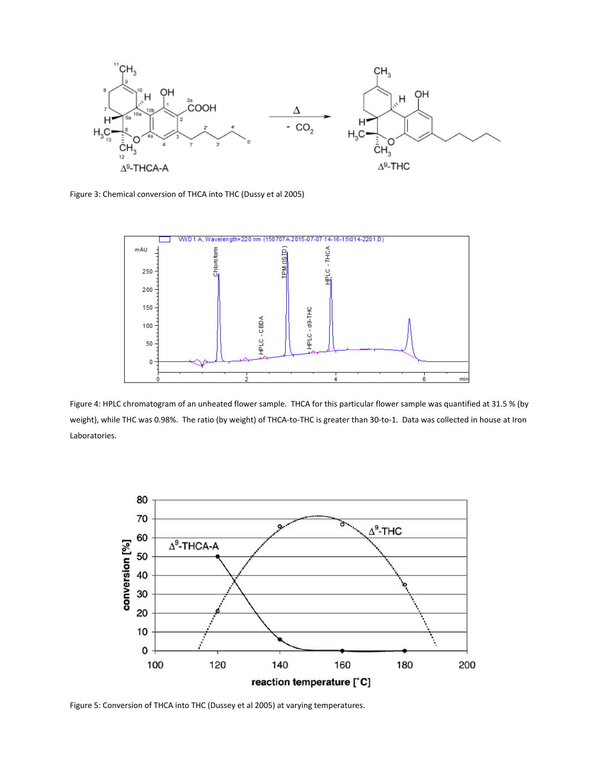

Figure 3: Chemical conversion of THCA into THC (Dussy et al 2005)



Figure 4: HPLC chromatogram of an unheated flower sample. THCA for this particular flower sample was quantified at 31.5 % (by weight), while THC was 0.98%. The ratio (by weight) of THCA-to-THC is greater than 30-to-1. Data was collected in house at Iron Laboratories.



Figure 5: Conversion of THCA into THC (Dussey et al 2005) at varying temperatures.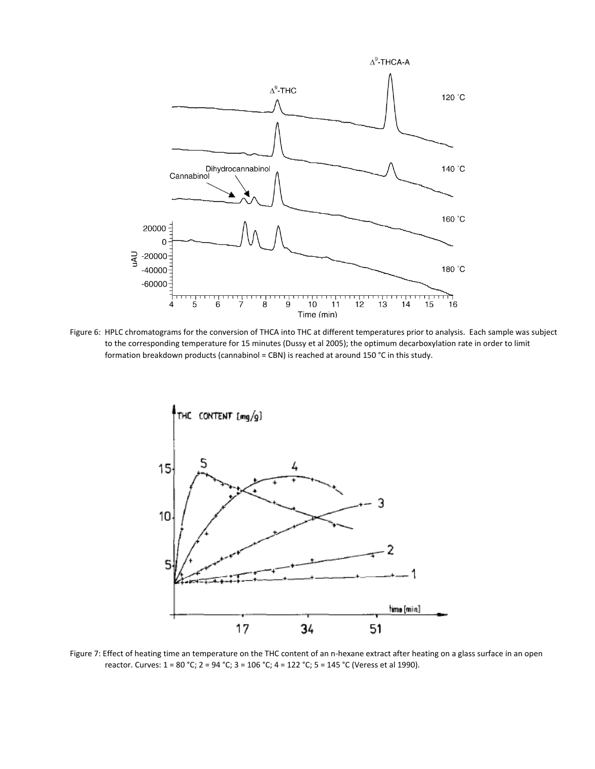

Figure 6: HPLC chromatograms for the conversion of THCA into THC at different temperatures prior to analysis. Each sample was subject to the corresponding temperature for 15 minutes (Dussy et al 2005); the optimum decarboxylation rate in order to limit formation breakdown products (cannabinol = CBN) is reached at around 150 °C in this study.



Figure 7: Effect of heating time an temperature on the THC content of an n-hexane extract after heating on a glass surface in an open reactor. Curves: 1 = 80 °C; 2 = 94 °C; 3 = 106 °C; 4 = 122 °C; 5 = 145 °C (Veress et al 1990).